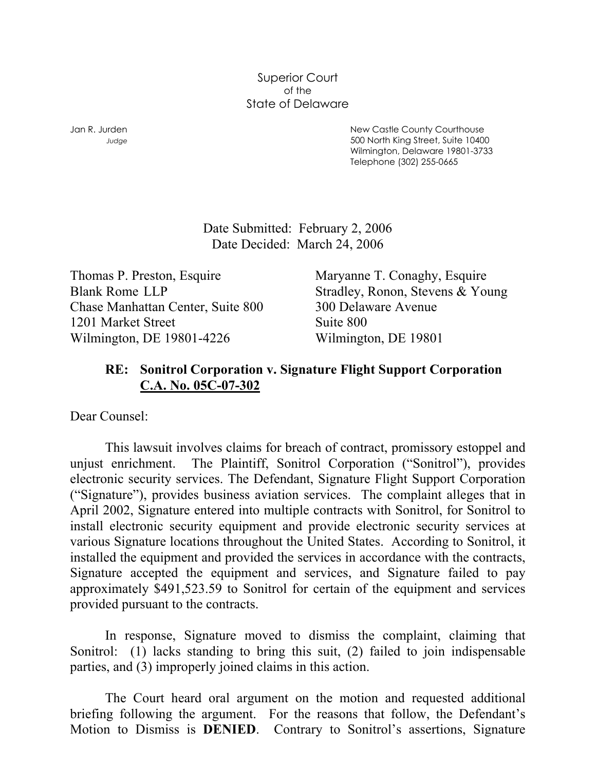Superior Court of the State of Delaware

Jan R. Jurden New Castle County Courthouse *Judge* 500 North King Street, Suite 10400 Wilmington, Delaware 19801-3733 Telephone (302) 255-0665

> Date Submitted: February 2, 2006 Date Decided: March 24, 2006

Thomas P. Preston, Esquire Maryanne T. Conaghy, Esquire Chase Manhattan Center, Suite 800 300 Delaware Avenue 1201 Market Street Suite 800 Wilmington, DE 19801-4226 Wilmington, DE 19801

Blank Rome LLP Stradley, Ronon, Stevens & Young

## **RE: Sonitrol Corporation v. Signature Flight Support Corporation C.A. No. 05C-07-302**

Dear Counsel:

 This lawsuit involves claims for breach of contract, promissory estoppel and unjust enrichment. The Plaintiff, Sonitrol Corporation ("Sonitrol"), provides electronic security services. The Defendant, Signature Flight Support Corporation ("Signature"), provides business aviation services. The complaint alleges that in April 2002, Signature entered into multiple contracts with Sonitrol, for Sonitrol to install electronic security equipment and provide electronic security services at various Signature locations throughout the United States. According to Sonitrol, it installed the equipment and provided the services in accordance with the contracts, Signature accepted the equipment and services, and Signature failed to pay approximately \$491,523.59 to Sonitrol for certain of the equipment and services provided pursuant to the contracts.

 In response, Signature moved to dismiss the complaint, claiming that Sonitrol: (1) lacks standing to bring this suit, (2) failed to join indispensable parties, and (3) improperly joined claims in this action.

 The Court heard oral argument on the motion and requested additional briefing following the argument. For the reasons that follow, the Defendant's Motion to Dismiss is **DENIED**. Contrary to Sonitrol's assertions, Signature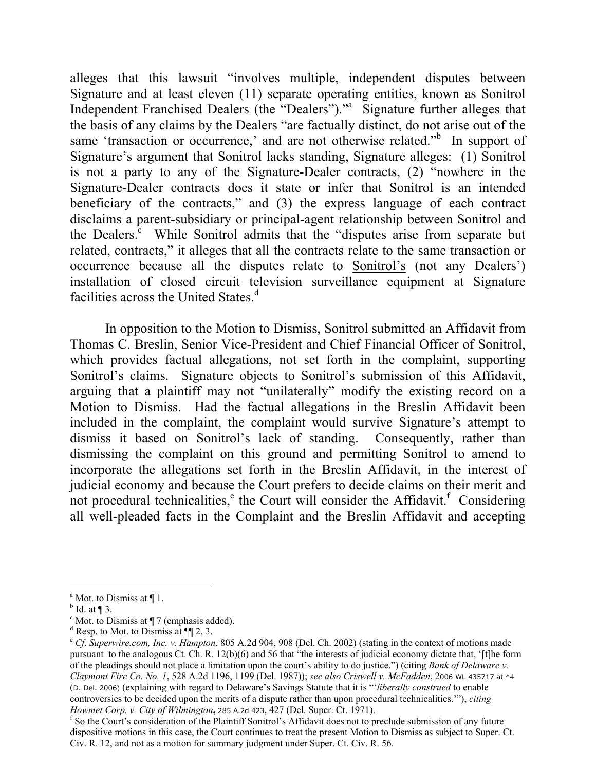alleges that this lawsuit "involves multiple, independent disputes between Signature and at least eleven (11) separate operating entities, known as Sonitrol Independent Franchised Dealers (the "Dealers")."<sup>a</sup> Signature further alleges that the basis of any claims by the Dealers "are factually distinct, do not arise out of the same 'transaction or occurrence,' and are not otherwise related."<sup>[b](#page-1-1)</sup> In support of Signature's argument that Sonitrol lacks standing, Signature alleges: (1) Sonitrol is not a party to any of the Signature-Dealer contracts, (2) "nowhere in the Signature-Dealer contracts does it state or infer that Sonitrol is an intended beneficiary of the contracts," and (3) the express language of each contract disclaims a parent-subsidiary or principal-agent relationship between Sonitrol and the Dealers.<sup>[c](#page-1-2)</sup> While Sonitrol admits that the "disputes arise from separate but related, contracts," it alleges that all the contracts relate to the same transaction or occurrence because all the disputes relate to Sonitrol's (not any Dealers') installation of closed circuit television surveillance equipment at Signature facilities across the Unite[d](#page-1-3) States. $d$ 

 In opposition to the Motion to Dismiss, Sonitrol submitted an Affidavit from Thomas C. Breslin, Senior Vice-President and Chief Financial Officer of Sonitrol, which provides factual allegations, not set forth in the complaint, supporting Sonitrol's claims. Signature objects to Sonitrol's submission of this Affidavit, arguing that a plaintiff may not "unilaterally" modify the existing record on a Motion to Dismiss. Had the factual allegations in the Breslin Affidavit been included in the complaint, the complaint would survive Signature's attempt to dismiss it based on Sonitrol's lack of standing. Consequently, rather than dismissing the complaint on this ground and permitting Sonitrol to amend to incorporate the allegations set forth in the Breslin Affidavit, in the interest of judicial economy and because the Court prefers to decide claims on their merit and not proc[e](#page-1-4)duraltechnicalities, $e^e$  the Court will consider the Affidavit.<sup>f</sup> Considering all well-pleaded facts in the Complaint and the Breslin Affidavit and accepting

<span id="page-1-0"></span><sup>&</sup>lt;sup>a</sup> Mot. to Dismiss at  $\P$  1.

<span id="page-1-1"></span> $\rm^b$  Id. at ¶ 3.

<span id="page-1-2"></span> $\textdegree$  Mot. to Dismiss at  $\P$  7 (emphasis added).

<span id="page-1-3"></span> $d$  Resp. to Mot. to Dismiss at  $\P$ [2, 3.

<span id="page-1-4"></span><sup>e</sup> *Cf*. *Superwire.com, Inc. v. Hampton*, 805 A.2d 904, 908 (Del. Ch. 2002) (stating in the context of motions made pursuant to the analogous Ct. Ch. R. 12(b)(6) and 56 that "the interests of judicial economy dictate that, '[t]he form of the pleadings should not place a limitation upon the court's ability to do justice.") (citing *Bank of Delaware v. Claymont Fire Co. No. 1*, 528 A.2d 1196, 1199 (Del. 1987)); *see also Criswell v. McFadden*, 2006 WL 435717 at \*4 (D. Del. 2006) (explaining with regard to Delaware's Savings Statute that it is "'*liberally construed* to enable controversies to be decided upon the merits of a dispute rather than upon procedural technicalities.'"), *citing Howmet Corp. v. City of Wilmington*, 285 A.2d 423, 427 (Del. Super. Ct. 1971).

<span id="page-1-5"></span><sup>&</sup>lt;sup>f</sup> So the Court's consideration of the Plaintiff Sonitrol's Affidavit does not to preclude submission of any future dispositive motions in this case, the Court continues to treat the present Motion to Dismiss as subject to Super. Ct. Civ. R. 12, and not as a motion for summary judgment under Super. Ct. Civ. R. 56.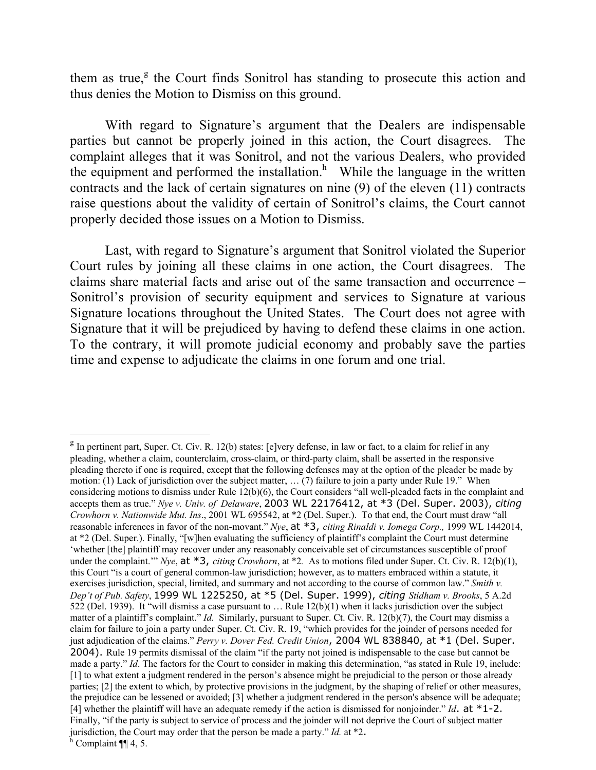them as true,<sup>[g](#page-2-0)</sup> the Court finds Sonitrol has standing to prosecute this action and thus denies the Motion to Dismiss on this ground.

 With regard to Signature's argument that the Dealers are indispensable parties but cannot be properly joined in this action, the Court disagrees. The complaint alleges that it was Sonitrol, and not the various Dealers, who provided the equipment and performed the installation. $<sup>h</sup>$  While the language in the written</sup> contracts and the lack of certain signatures on nine (9) of the eleven (11) contracts raise questions about the validity of certain of Sonitrol's claims, the Court cannot properly decided those issues on a Motion to Dismiss.

 Last, with regard to Signature's argument that Sonitrol violated the Superior Court rules by joining all these claims in one action, the Court disagrees. The claims share material facts and arise out of the same transaction and occurrence – Sonitrol's provision of security equipment and services to Signature at various Signature locations throughout the United States. The Court does not agree with Signature that it will be prejudiced by having to defend these claims in one action. To the contrary, it will promote judicial economy and probably save the parties time and expense to adjudicate the claims in one forum and one trial.

 $\overline{\phantom{a}}$ 

<span id="page-2-0"></span> $<sup>g</sup>$  In pertinent part, Super. Ct. Civ. R. 12(b) states: [e]very defense, in law or fact, to a claim for relief in any</sup> pleading, whether a claim, counterclaim, cross-claim, or third-party claim, shall be asserted in the responsive pleading thereto if one is required, except that the following defenses may at the option of the pleader be made by motion: (1) Lack of jurisdiction over the subject matter, … (7) failure to join a party under Rule 19." When considering motions to dismiss under Rule 12(b)(6), the Court considers "all well-pleaded facts in the complaint and accepts them as true." *Nye v. Univ. of Delaware*, 2003 WL 22176412, at \*3 (Del. Super. 2003), *citing Crowhorn v. Nationwide Mut. Ins*[., 2001 WL 695542, at \\*2 \(Del. Super.\)](http://web2.westlaw.com/find/default.wl?rs=WLW6.03&serialnum=2001534953&tf=-1&db=999&tc=-1&fn=_top&referenceposition=398&mt=Delaware&vr=2.0&sv=Split&referencepositiontype=S&rp=%2ffind%2fdefault.wl&findtype=Y). To that end, the Court must draw "all reasonable inferences in favor of the non-movant." *Nye*, at \*3, *citing [Rinaldi v. Iomega Corp.,](http://web2.westlaw.com/find/default.wl?rs=WLW6.03&serialnum=2000051898&tf=-1&db=999&tc=-1&fn=_top&referenceposition=398&mt=Delaware&vr=2.0&sv=Split&referencepositiontype=S&rp=%2ffind%2fdefault.wl&findtype=Y)* 1999 WL 1442014, [at \\*2 \(Del. Super.\)](http://web2.westlaw.com/find/default.wl?rs=WLW6.03&serialnum=2000051898&tf=-1&db=999&tc=-1&fn=_top&referenceposition=398&mt=Delaware&vr=2.0&sv=Split&referencepositiontype=S&rp=%2ffind%2fdefault.wl&findtype=Y). Finally, "[w]hen evaluating the sufficiency of plaintiff's complaint the Court must determine 'whether [the] plaintiff may recover under any reasonably conceivable set of circumstances susceptible of proof under the complaint." *Nye*, at  $*3$ , *citing [Crowhorn](http://web2.westlaw.com/find/default.wl?rs=WLW6.03&serialnum=2001534953&tf=-1&db=999&tc=-1&fn=_top&referenceposition=398&mt=Delaware&vr=2.0&sv=Split&referencepositiontype=S&rp=%2ffind%2fdefault.wl&findtype=Y)*, at  $*2$ . As to motions filed under Super. Ct. Civ. R. 12(b)(1), this Court "is a court of general common-law jurisdiction; however, as to matters embraced within a statute, it exercises jurisdiction, special, limited, and summary and not according to the course of common law." *Smith v. Dep't of Pub. Safety*, 1999 WL 1225250, at \*5 (Del. Super. 1999), *citing [Stidham v. Brooks](http://web2.westlaw.com/find/default.wl?rs=WLW6.03&serialnum=1939116141&tf=-1&db=162&tc=-1&fn=_top&referenceposition=685&mt=Delaware&vr=2.0&sv=Split&referencepositiontype=S&rp=%2ffind%2fdefault.wl&findtype=Y)*, 5 A.2d [522 \(Del. 1939\).](http://web2.westlaw.com/find/default.wl?rs=WLW6.03&serialnum=1939116141&tf=-1&db=162&tc=-1&fn=_top&referenceposition=685&mt=Delaware&vr=2.0&sv=Split&referencepositiontype=S&rp=%2ffind%2fdefault.wl&findtype=Y) It "will dismiss a case pursuant to … Ru[le 12\(b\)\(1\)](http://web2.westlaw.com/find/default.wl?rs=WLW6.03&tf=-1&docname=DERSUPCTRCPR12&db=1006349&tc=-1&fn=_top&referenceposition=685&mt=Delaware&vr=2.0&sv=Split&referencepositiontype=S&rp=%2ffind%2fdefault.wl&findtype=L) when it lacks jurisdiction over the subject matter of a plaintiff's complaint." *Id.* Similarly, pursuant to Super. Ct. Civ. R. 12(b)(7), the Court may dismiss a claim for failure to join a party under Super. Ct. Civ. R. 19, "which provides for the joinder of persons needed for just adjudication of the claims." *Perry v. Dover Fed. Credit Union*, 2004 WL 838840, at \*1 (Del. Super. 2004). Rule 19 permits dismissal of the claim "if the party not joined is indispensable to the case but cannot be made a party." *Id*. The factors for the Court to consider in making this determination, "as stated in Rule 19, include: [1] to what extent a judgment rendered in the person's absence might be prejudicial to the person or those already parties; [2] the extent to which, by protective provisions in the judgment, by the shaping of relief or other measures, the prejudice can be lessened or avoided; [3] whether a judgment rendered in the person's absence will be adequate; [4] whether the plaintiff will have an adequate remedy if the action is dismissed for nonjoinder." *Id*. at  $*1$ -2. Finally, "if the party is subject to service of process and the joinder will not deprive the Court of subject matter jurisdiction, the Court may order that the person be made a party." *Id.* at  $*2$ .

<span id="page-2-1"></span> $h$  Complaint ¶ 4, 5.